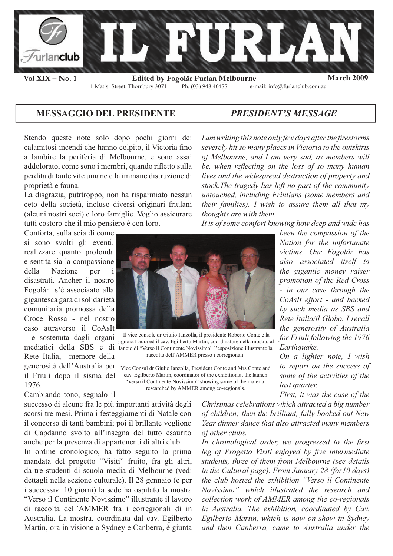

## **MESSAGGIO DEL PRESIDENTE** *PRESIDENT'S MESSAGE*

Stendo queste note solo dopo pochi giorni dei calamitosi incendi che hanno colpito, il Victoria fino a lambire la periferia di Melbourne, e sono assai addolorato, come sono i membri, quando rifletto sulla perdita di tante vite umane e la immane distruzione di proprietà e fauna.

La disgrazia, putrtroppo, non ha risparmiato nessun ceto della società, incluso diversi originari friulani (alcuni nostri soci) e loro famiglie. Voglio assicurare tutti costoro che il mio pensiero è con loro.

Conforta, sulla scia di come si sono svolti gli eventi, realizzare quanto profonda e sentita sia la compassione della Nazione per i disastrati. Ancher il nostro Fogolâr s'è associaato alla gigantesca gara di solidarietà comunitaria promossa della Croce Rossa - nel nostro caso attraverso il CoAsIt - e sostenuta dagli organi Rete Italia, memore della generosità dell'Australia per il Friuli dopo il sisma del 1976.

Cambiando tono, segnalo il

successo di alcune fra le più importanti attività degli scorsi tre mesi. Prima i festeggiamenti di Natale con il concorso di tanti bambini; poi il brillante veglione di Capdanno svolto all'insegna del tutto esaurito anche per la presenza di appartenenti di altri club.

In ordine cronologico, ha fatto seguito la prima mandata del progetto "Visiti" fruito, fra gli altri, da tre studenti di scuola media di Melbourne (vedi dettagli nella sezione culturale). Il 28 gennaio (e per i successivi 10 giorni) la sede ha ospitato la mostra "Verso il Continente Novissimo" illustrante il lavoro di raccolta dell'AMMER fra i corregionali di in Australia. La mostra, coordinata dal cav. Egilberto Martin, ora in visione a Sydney e Canberra, è giunta I am writing this note only few days after the firestorms *severely hit so many places in Victoria to the outskirts of Melbourne, and I am very sad, as members will*  be, when reflecting on the loss of so many human *lives and the widespread destruction of property and stock.The tragedy has left no part of the community untouched, including Friulians (some members and their families). I wish to assure them all that my thoughts are with them.*

*It is of some comfort knowing how deep and wide has* 



mediatici della SBS e di lancio di "Verso il Continente Novissimo" l'esposizione illustrante la Il vice console dr Giulio Ianzolla, il presidente Roberto Conte e la signora Laura ed il cav. Egilberto Martin, coordinatore della mostra, al raccolta dell'AMMER presso i corregionali.

Vice Consul dr Giulio Ianzolla, President Conte and Mrs Conte and cav. Egilberto Martin, coordinator of the exhibition,at the launch "Verso il Continente Novissimo" showing some of the material researched by AMMER among co-regionals.

*been the compassion of the Nation for the unfortunate victims. Our Fogolâr has also associated itself to the gigantic money raiser promotion of the Red Cross - in our case through the CoAsIt effort - and backed by such media as SBS and Rete Italia/il Globo. I recall the generosity of Australia for Friuli following the 1976 Earthquake.*

*On a lighter note, I wish to report on the success of some of the activities of the last quarter.*

*First, it was the case of the* 

*Christmas celebrations which attracted a big number of children; then the brilliant, fully booked out New Year dinner dance that also attracted many members of other clubs.*

In chronological order, we progressed to the first leg of Progetto Visiti enjoyed by five intermediate *students, three of them from Melbourne (see details in the Cultural page). From January 28 (for10 days) the club hosted the exhibition "Verso il Continente Novissimo" which illustrated the research and collection work of AMMER among the co-regionals in Australia. The exhibition, coordinated by Cav. Egilberto Martin, which is now on show in Sydney and then Canberra, came to Australia under the*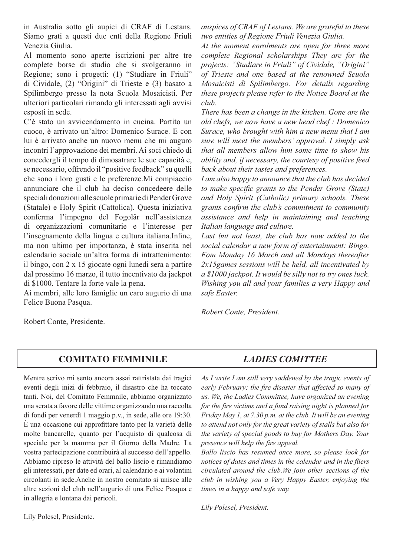in Australia sotto gli aupici di CRAF di Lestans. Siamo grati a questi due enti della Regione Friuli Venezia Giulia.

Al momento sono aperte iscrizioni per altre tre complete borse di studio che si svolgeranno in Regione; sono i progetti: (1) "Studiare in Friuli" di Cividale, (2) "Origini" di Trieste e (3) basato a Spilimbergo presso la nota Scuola Mosaicisti. Per ulteriori particolari rimando gli interessati agli avvisi esposti in sede.

C'è stato un avvicendamento in cucina. Partito un cuoco, è arrivato un'altro: Domenico Surace. E con lui è arrivato anche un nuovo menu che mi auguro incontri l'approvazione dei membri. Ai soci chiedo di concedergli il tempo di dimosatrare le sue capacità e, se necessario, offrendo il "positive feedback" su quelli che sono i loro gusti e le preferenze.Mi compiaccio annunciare che il club ha deciso concedeere delle speciali donazioni alle scuole primarie di Pender Grove (Statale) e Holy Spirit (Cattolica). Questa iniziativa conferma l'impegno del Fogolâr nell'assistenza di organizzazioni comunitarie e l'interesse per l'insegnamento della lingua e cultura italiana.Infine, ma non ultimo per importanza, è stata inserita nel calendario sociale un'altra forma di intrattenimento: il bingo, con 2 x 15 giocate ogni lunedi sera a partire dal prossimo 16 marzo, il tutto incentivato da jackpot di \$1000. Tentare la forte vale la pena.

Ai membri, alle loro famiglie un caro augurio di una Felice Buona Pasqua.

Robert Conte, Presidente.

*auspices of CRAF of Lestans. We are grateful to these two entities of Regione Friuli Venezia Giulia.*

*At the moment enrolments are open for three more complete Regional scholarships They are for the projects: "Studiare in Friuli" of Cividale, "Origini" of Trieste and one based at the renowned Scuola Mosaicisti di Spilimbergo. For details regarding these projects please refer to the Notice Board at the club.*

*There has been a change in the kitchen. Gone are the old chefs, we now have a new head chef : Domenico Surace, who brought with him a new menu that I am sure will meet the members' approval. I simply ask that all members allow him some time to show his ability and, if necessary, the courtesy of positive feed back about their tastes and preferences.*

*I am also happy to announce that the club has decided to make specific grants to the Pender Grove (State) and Holy Spirit (Catholic) primary schools. These*  grants confirm the club's commitment to community *assistance and help in maintaining and teaching Italian language and culture.*

*Last but not least, the club has now added to the social calendar a new form of entertainment: Bingo. Fom Monday 16 March and all Mondays thereafter 2x15games sessions will be held, all incentivated by a \$1000 jackpot. It would be silly not to try ones luck. Wishing you all and your families a very Happy and safe Easter.*

*Robert Conte, President.*

# **COMITATO FEMMINILE** *LADIES COMITTEE*

Mentre scrivo mi sento ancora assai rattristata dai tragici eventi degli inizi di febbraio, il disastro che ha toccato tanti. Noi, del Comitato Femmnile, abbiamo organizzato una serata a favore delle vittime organizzando una raccolta di fondi per venerdì 1 maggio p.v., in sede, alle ore 19:30.  $\dot{E}$  una occasione cui approfittare tanto per la varietà delle molte bancarelle, quanto per l'acquisto di qualcosa di speciale per la mamma per il Giorno della Madre. La vostra partecipazione contribuirà al successo dell'appello. Abbiamo ripreso le attività del ballo liscio e rimandiamo gli interessati, per date ed orari, al calendario e ai volantini circolanti in sede.Anche in nostro comitato si unisce alle altre sezioni del club nell'augurio di una Felice Pasqua e in allegria e lontana dai pericoli.

Lily Polesel, Presidente.

*As I write I am still very saddened by the tragic events of early February; the fire disaster that affected so many of us. We, the Ladies Committee, have organized an evening for the fire victims and a fund raising night is planned for Friday May 1, at 7.30 p.m. at the club. It will be an evening to attend not only for the great variety of stalls but also for the variety of special goods to buy for Mothers Day. Your presence will help the fire appeal.* 

*Ballo liscio has resumed once more, so please look for notices of dates and times in the calendar and in the fliers circulated around the club.We join other sections of the club in wishing you a Very Happy Easter, enjoying the times in a happy and safe way.*

*Lily Polesel, President.*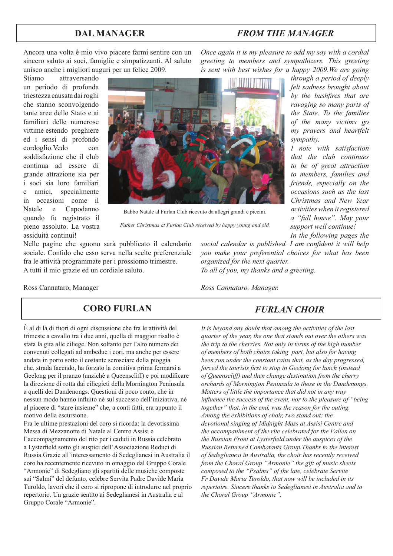# **DAL MANAGER** *FROM THE MANAGER*

*Once again it is my pleasure to add my say with a cordial greeting to members and sympathizers. This greeting is sent with best wishes for a happy 2009.We are going* 

Ancora una volta è mio vivo piacere farmi sentire con un sincero saluto ai soci, famiglie e simpatizzanti. Al saluto unisco anche i migliori auguri per un felice 2009.

Stiamo attraversando un periodo di profonda triestezza causata dai roghi che stanno sconvolgendo tante aree dello Stato e ai familiari delle numerose vittime estendo preghiere ed i sensi di profondo cordoglio.Vedo con soddisfazione che il club continua ad essere di grande attrazione sia per i soci sia loro familiari e amici, specialmente in occasioni come il Natale e Capodanno quando fu registrato il pieno assoluto. La vostra assiduità continui!



Babbo Natale al Furlan Club ricevuto da allegri grandi e piccini.

*Father Christmas at Furlan Club received by happy young and old.*

Nelle pagine che sguono sarà pubblicato il calendario sociale. Confido che esso serva nella scelte preferenziale fra le attività programmate per i prossiomo trimestre. A tutti il mio grazie ed un cordiale saluto.

social calendar is published. I am confident it will help *you make your preferential choices for what has been organized for the next quarter. To all of you, my thanks and a greeting.*

Ross Cannataro, Manager

## **CORO FURLAN** *FURLAN CHOIR*

È al di là di fuori di ogni discussione che fra le attività del trimeste a cavallo tra i due anni, quella di maggior risalto è stata la gita alle ciliege. Non soltanto per l'alto numero dei convenuti collegati ad ambedue i cori, ma anche per essere andata in porto sotto il costante scrosciare della pioggia che, strada facendo, ha forzato la comitiva prima fermarsi a Geelong per il pranzo (anzichè a Queenscliff) e poi modificare la direzione di rotta dai ciliegieti della Mornington Peninsula a quelli dei Dandenongs. Questioni di poco conto, che in nessun modo hanno influito nè sul successo dell'iniziativa, nè al piacere di "stare insieme" che, a conti fatti, era appunto il motivo della escursione.

Fra le ultime prestazioni del coro si ricorda: la devotissima Messa di Mezzanotte di Natale al Centro Assisi e l'accompagnamento del rito per i caduti in Russia celebrato a Lysterfield sotto gli auspici dell'Associazione Reduci di Russia.Grazie all'interessamento di Sedeglianesi in Australia il coro ha recentemente ricevuto in omaggio dal Gruppo Corale "Armonie" di Sedegliano gli spartiti delle musiche composte sui "Salmi" del defunto, celebre Servita Padre Davide Maria Turoldo, lavori che il coro si ripropone di introdurre nel proprio repertorio. Un grazie sentito ai Sedeglianesi in Australia e al Gruppo Corale "Armonie".

*Ross Cannataro, Manager.*

*It is beyond any doubt that among the activities of the last quarter of the year, the one that stands out over the others was the trip to the cherries. Not only in terms of the high number of members of both choirs taking part, but also for having been run under the constant rains that, as the day progressed, forced the tourists first to stop in Geelong for lunch (instead of Queenscliff) and then change destination from the cherry orchards of Mornington Peninsula to those in the Dandenongs. Matters of little the importance that did not in any way influence the success of the event, nor to the pleasure of "being together" that, in the end, was the reason for the outing. Among the exhibitions of choir, two stand out: the devotional singing of Midnight Mass at Assisi Centre and the accompaniment of the rite celebrated for the Fallen on the Russian Front at Lysterfield under the auspices of the Russian Returned Combatants Group.Thanks to the interest of Sedeglianesi in Australia, the choir has recently received from the Choral Group "Armonie" the gift of music sheets composed to the "Psalms" of the late, celebrate Servite Fr Davide Maria Turoldo, that now will be included in its repertoire. Sincere thanks to Sedeglianesi in Australia and to the Choral Group "Armonie".*

*by the bushfires that are ravaging so many parts of the State. To the families of the many victims go my prayers and heartfelt sympathy. I note with satisfaction that the club continues* 

*through a period of deeply felt sadness brought about* 

*to be of great attraction to members, families and friends, especially on the occasions such as the last Christmas and New Year activities when it registered a "full house". May your support well continue!* 

*In the following pages the*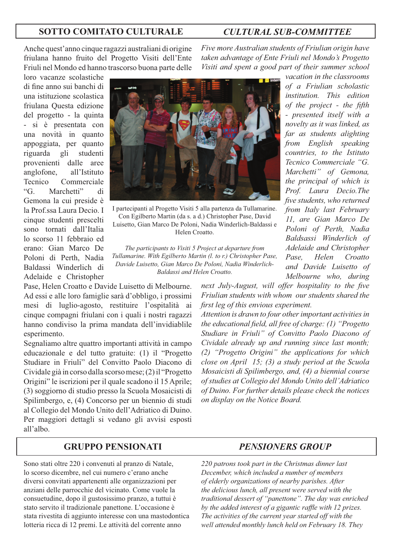### **SOTTO COMITATO CULTURALE** *CULTURAL SUB-COMMITTEE*

Anche quest'anno cinque ragazzi australiani di origine friulana hanno fruito del Progetto Visiti dell'Ente Friuli nel Mondo ed hanno trascorso buona parte delle

loro vacanze scolastiche di fine anno sui banchi di una istituzione scolastica friulana Questa edizione del progetto - la quinta - si è presentata con una novità in quanto appoggiata, per quanto riguarda gli studenti provenienti dalle aree anglofone, all'Istituto Tecnico Commerciale "G. Marchetti" di Gemona la cui preside è la Prof.ssa Laura Decio. I cinque studenti prescelti sono tornati dall'Italia lo scorso 11 febbraio ed erano: Gian Marco De Poloni di Perth, Nadia Baldassi Winderlich di Adelaide e Christopher



I partecipanti al Progetto Visiti 5 alla partenza da Tullamarine. Con Egilberto Martin (da s. a d.) Christopher Pase, David Luisetto, Gian Marco De Poloni, Nadia Winderlich-Baldassi e Helen Croatto.

*The participants to Visiti 5 Project at departure from Tullamarine. With Egilberto Martin (l. to r.) Christopher Pase, Davide Luisetto, Gian Marco De Poloni, Nadia Winderlich-Baldassi and Helen Croatto.* 

Pase, Helen Croatto e Davide Luisetto di Melbourne. Ad essi e alle loro famiglie sarà d'obbligo, i prossimi mesi di luglio-agosto, restituire l'ospitalità ai cinque compagni friulani con i quali i nostri ragazzi hanno condiviso la prima mandata dell'invidiablile esperimento.

Segnaliamo altre quattro importanti attività in campo educazionale e del tutto gratuite: (1) il "Progetto Studiare in Friuli" del Convitto Paolo Diacono di Cividale già in corso dalla scorso mese; (2) il "Progetto Origini" le iscrizioni per il quale scadono il 15 Aprile; (3) soggiorno di studio presso la Scuola Mosaicisti di Spilimbergo, e, (4) Concorso per un biennio di studi al Collegio del Mondo Unito dell'Adriatico di Duino. Per maggiori dettagli si vedano gli avvisi esposti all'albo.

*Five more Australian students of Friulian origin have taken advantage of Ente Friuli nel Mondo's Progetto Visiti and spent a good part of their summer school* 

> *vacation in the classrooms of a Friulian scholastic institution. This edition of the project - the fifth - presented itself with a novelty as it was linked, as far as students alighting from English speaking countries, to the Istituto Tecnico Commerciale "G. Marchetti" of Gemona, the principal of which is Prof. Laura Decio.The fi ve students, who returned from Italy last February 11, are Gian Marco De Poloni of Perth, Nadia Baldsassi Winderlich of Adelaide and Christopher Pase, Helen Croatto and Davide Luisetto of Melbourne who, during*

*next July-August, will offer hospitality to the five Friulian students with whom our students shared the first leg of this envious experiment.* 

*Attention is drawn to four other important activities in the educational field, all free of charge: (1) "Progetto Studiare in Friuli" of Convitto Paolo Diacono of Cividale already up and running since last month; (2) "Progetto Origini" the applications for which close on April 15; (3) a study period at the Scuola Mosaicisti di Spilimbergo, and, (4) a biennial course of studies at Collegio del Mondo Unito dell'Adriatico of Duino. For further details please check the notices on display on the Notice Board.*

## **GRUPPO PENSIONATI** *PENSIONERS GROUP*

Sono stati oltre 220 i convenuti al pranzo di Natale, lo scorso dicembre, nel cui numero c'erano anche diversi convitati appartenenti alle organizzazioni per anziani delle parrocchie del vicinato. Come vuole la consuetudine, dopo il gustosissimo pranzo, a tuttui è stato servito il tradizionale panettone. L'occasione è stata rivestita di aggiunto interesse con una mastodontica lotteria ricca di 12 premi. Le attività del corrente anno

*220 patrons took part in the Christmas dinner last December, which included a number of members of elderly organizations of nearby parishes. After the delicious lunch, all present were served with the traditional dessert of "panettone". The day was enriched by the added interest of a gigantic raffle with 12 prizes. The activities of the current year started off with the well attended monthly lunch held on February 18. They*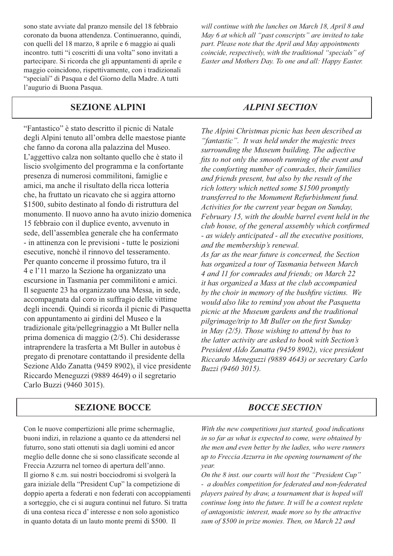sono state avviate dal pranzo mensile del 18 febbraio coronato da buona attendenza. Continueranno, quindi, con quelli del 18 marzo, 8 aprile e 6 maggio ai quali incontro. tutti "i coscritti di una volta" sono invitati a partecipare. Si ricorda che gli appuntamenti di aprile e maggio coincidono, rispettivamente, con i tradizionali "speciali" di Pasqua e del Giorno della Madre. A tutti l'augurio di Buona Pasqua.

## **SEZIONE ALPINI** *ALPINI SECTION*

"Fantastico" è stato descritto il picnic di Natale degli Alpini tenuto all'ombra delle maestose piante che fanno da corona alla palazzina del Museo. L'aggettivo calza non soltanto quello che è stato il liscio svolgimento del programma e la confortante presenza di numerosi commilitoni, famiglie e amici, ma anche il risultato della ricca lotteria che, ha fruttato un ricavato che si aggira attorno \$1500, subito destinato al fondo di ristruttura del monumento. Il nuovo anno ha avuto inizio domenica 15 febbraio con il duplice evento, avvenuto in sede, dell'assemblea generale che ha confermato - in attinenza con le previsioni - tutte le posizioni esecutive, nonchè il rinnovo del tesseramento. Per quanto concerne il prossimo futuro, tra il 4 e l'11 marzo la Sezione ha organizzato una escursione in Tasmania per commilitoni e amici. Il seguente 23 ha organizzato una Messa, in sede, accompagnata dal coro in suffragio delle vittime degli incendi. Quindi si ricorda il picnic di Pasquetta con appuntamento ai girdini del Museo e la tradizionale gita/pellegrinaggio a Mt Buller nella prima domenica di maggio (2/5). Chi desiderasse intraprendere la trasferta a Mt Buller in autobus è pregato di prenotare contattando il presidente della Sezione Aldo Zanatta (9459 8902), il vice presidente Riccardo Meneguzzi (9889 4649) o il segretario Carlo Buzzi (9460 3015).

*will continue with the lunches on March 18, April 8 and May 6 at which all "past conscripts" are invited to take part. Please note that the April and May appointments coincide, respectively, with the traditional "specials" of Easter and Mothers Day. To one and all: Happy Easter.*

*The Alpini Christmas picnic has been described as "fantastic". It was held under the majestic trees surrounding the Museum building. The adjective*  fits to not only the smooth running of the event and *the comforting number of comrades, their families and friends present, but also by the result of the rich lottery which netted some \$1500 promptly transferred to the Monument Refurbishment fund. Activities for the current year began on Sunday, February 15, with the double barrel event held in the club house, of the general assembly which confirmed - as widely anticipated - all the executive positions, and the membership's renewal. As far as the near future is concerned, the Section has organized a tour of Tasmania between March 4 and 11 for comrades and friends; on March 22 it has organized a Mass at the club accompanied*  by the choir in memory of the bushfire victims. We *would also like to remind you about the Pasquetta picnic at the Museum gardens and the traditional pilgrimage/trip to Mt Buller on the first Sunday in May (2/5). Those wishing to attend by bus to the latter activity are asked to book with Section's President Aldo Zanatta (9459 8902), vice president Riccardo Meneguzzi (9889 4643) or secretary Carlo Buzzi (9460 3015).*

## **SEZIONE BOCCE** *BOCCE SECTION*

Con le nuove compertizioni alle prime schermaglie, buoni indizi, in relazione a quanto ce da attendersi nel futurro, sono stati ottenuti sia dagli uomini ed ancor meglio delle donne che si sono classificate seconde al Freccia Azzurra nel torneo di apertura dell'anno. Il giorno 8 c.m. sui nostri bocciodromi si svolgerà la gara iniziale della "President Cup" la competizione di doppio aperta a federati e non federati con accoppiamenti a sorteggio, che ci si augura continui nel futuro. Si tratta di una contesa ricca d' interesse e non solo agonistico in quanto dotata di un lauto monte premi di \$500. Il

*With the new competitions just started, good indications in so far as what is expected to come, were obtained by the men and even better by the ladies, who were runners up to Freccia Azzurra in the opening tournament of the year.* 

*On the 8 inst. our courts will host the "President Cup" - a doubles competition for federated and non-federated players paired by draw, a tournament that is hoped will continue long into the future. It will be a contest replete of antagonistic interest, made more so by the attractive sum of \$500 in prize monies. Then, on March 22 and*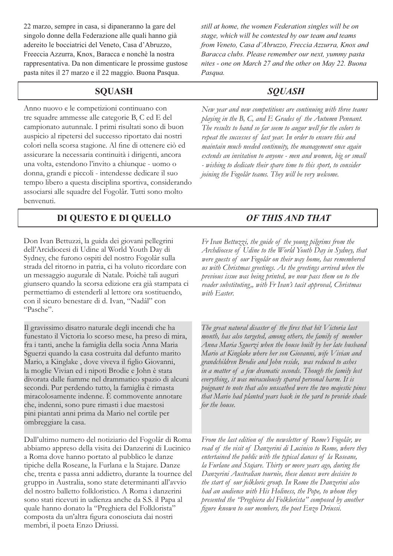22 marzo, sempre in casa, si dipaneranno la gare del singolo donne della Federazione alle quali hanno già adereito le bocciatrici del Veneto, Casa d'Abruzzo, Freeccia Azzurra, Knox, Baracca e nonchè la nostra rappresentativa. Da non dimenticare le prossime gustose pasta nites il 27 marzo e il 22 maggio. Buona Pasqua.

Anno nuovo e le competizioni continuano con tre squadre ammesse alle categorie B, C ed E del campionato autunnale. I primi risultati sono di buon auspicio al ripetersi del successo riportato dai nostri colori nella scorsa stagione. Al fine di ottenere ciò ed assicurare la necessaria continuità i dirigenti, ancora una volta, estendono l'invito a chiunque - uomo o donna, grandi e piccoli - intendesse dedicare il suo tempo libero a questa disciplina sportiva, considerando associarsi alle squadre del Fogolâr. Tutti sono molto benvenuti.

# **DI QUESTO E DI QUELLO** *OF THIS AND THAT*

Don Ivan Bettuzzi, la guida dei giovani pellegrini dell'Arcidiocesi di Udine al World Youth Day di Sydney, che furono ospiti del nostro Fogolâr sulla strada del ritorno in patria, ci ha voluto ricordare con un messaggio augurale di Natale. Poichè tali auguri giunsero quando la scorsa edizione era già stampata ci permettiamo di estenderli al lettore ora sostituendo, con il sicuro benestare di d. Ivan, "Nadâl" con "Pasche".

Il gravissimo disatro naturale degli incendi che ha funestato il Victoria lo scorso mese, ha preso di mira, fra i tanti, anche la famiglia della socia Anna Maria Sguerzi quando la casa costruita dal defunto marito Mario, a Kinglake, dove viveva il figlio Giovanni, la moglie Vivian ed i nipoti Brodie e John è stata divorata dalle fiamme nel drammatico spazio di alcuni secondi. Pur perdendo tutto, la famiglia è rimasta miracolosamente indenne. È commovente annotare che, indenni, sono pure rimasti i due maestosi pini piantati anni prima da Mario nel cortile per ombreggiare la casa.

Dall'ultimo numero del notiziario del Fogolâr di Roma abbiamo appreso della visita dei Danzerini di Lucinico a Roma dove hanno portato al pubblico le danze tipiche della Roseane, la Furlana e la Stajare. Danze che, trenta e passa anni addietro, durante la tournee del gruppo in Australia, sono state determinanti all'avvio del nostro balletto folkloristico. A Roma i danzerini sono stati ricevuti in udienza anche da S.S. il Papa al quale hanno donato la "Preghiera del Folklorista" composta da un'altra figura conosciuta dai nostri membri, il poeta Enzo Driussi.

*still at home, the women Federation singles will be on stage, which will be contested by our team and teams from Veneto, Casa d'Abruzzo, Freccia Azzurra, Knox and Baracca clubs. Please remember our next, yummy pasta nites - one on March 27 and the other on May 22. Buona Pasqua.*

## **SQUASH** *SQUASH*

*New year and new competitions are continuing with three teams playing in the B, C, and E Grades of the Autumn Pennant. The results to hand so far seem to augur well for the colors to repeat the successes of last year. In order to ensure this and maintain much needed continuity, the management once again extends an invitation to anyone - men and women, big or small - wishing to dedicate their spare time to this sport, to consider joining the Fogolâr teams. They will be very welcome.*

*Fr Ivan Bettuzzi, the guide of the young pilgrims from the Archdiocese of Udine to the World Youth Day in Sydney, that were guests of our Fogolâr on their way home, has remembered us with Christmas greetings. As the greetings arrived when the previous issue was being printed, we now pass them on to the reader substituting,, with Fr Ivan's tacit approval, Christmas with Easter.*

The great natural disaster of the fires that hit Victoria last *month, has also targeted, among others, the family of member Anna Maria Sguerzi when the house built by her late husband Mario at Kinglake where her son Giovanni, wife Vivian and grandchildren Brodie and John reside, was reduced to ashes in a matter of a few dramatic seconds. Though the family lost everything, it was miraculously spared personal harm. It is poignant to note that also unscathed were the two majestic pines that Mario had planted years back in the yard to provide shade for the house.*

*From the last edition of the newsletter of Rome's Fogolâr, we read of the visit of Danzerini di Lucinico to Rome, where they entertained the public with the typical dances of la Roseane, la Furlane and Stajare. Thirty or more years ago, during the Danzerini Australian tournèe, these dances were decisive to the start of our folkloric group. In Rome the Danzerini also had an audience with His Holiness, the Pope, to whom they presented the "Preghiera del Folklorista" composed by another fi gure known to our members, the poet Enzo Driussi.*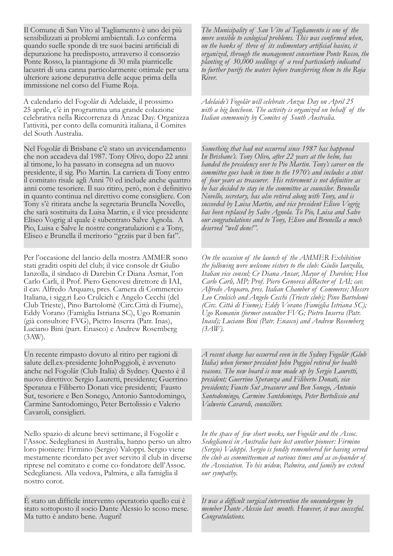Il Comune di San Vito al Tagliamento è uno dei più sensibilizzati ai problemi ambientali. Lo conferma quando suelle sponde di tre suoi bacini artificiali di depurazione ha predisposto, attraverso il consorzio Ponte Rosso, la piantagione di 30 mila pianticelle lacustri di una canna particolarmente ottimale per una ulteriore azione depurativa delle acque prima della immissione nel corso del Fiume Roja.

A calendario del Fogolâr di Adelaide, il prossimo 25 aprile, c'è in programma una grande colazione celebrativa nella Riccorrenza di Anzac Day. Organizza l'attività, per conto della comunità italiana, il Comites del South Australia.

Nel Fogolâr di Brisbane c'è stato un avvicendamento che non accadeva dal 1987. Tony Olivo, dopo 22 anni al timone, lo ha passato in consegna ad un nuovo presidente, il sig. Pio Martin. La carriera di Tony entro il comitato risale agli Anni 70 ed include anche quattro anni come tesoriere. Il suo ritiro, però, non è definitivo in quanto continua nel direttivo come consigliere. Con Tony s'è ritirata anche la segretaria Brunella Novello, che sarà sostituita da Luisa Martin, e il vice presidente Eliseo Vogrig al quale è subentrato Salve Agnola. A Pio, Luisa e Salve le nostre congratulazioni e a Tony, Eliseo e Brunella il meritorio "grziis par il ben fat".

Per l'occasione del lancio della mostra AMMER sono stati graditi ospiti del club; il vice console dr Giulio Ianzolla, il sindaco di Darebin Cr Diana Asmar, l'on Carlo Carli, il Prof. Piero Genovesi direttore di IAI, il cav. Alfredo Arquaro, pres. Camera di Commercio Italiana, i sigg.ri Leo Crulcich e Angelo Cecchi (del Club Trieste), Pino Bartolomè (Circ.Città di Fiume), Eddy Vorano (Famiglia Istriana SC), Ugo Romanin (già consultore FVG), Pietro Inserra (Patr. Inas), Luciano Bini (part. Enasco) e Andrew Rosemberg (3AW).

Un recente rimpasto dovuto al ritiro per ragioni di salute dell.ex-presidente JohnPoggioli, è avvenuto anche nel Fogolâr (Club Italia) di Sydney. Questo è il nuovo direttivo: Sergio Lauretti, presidente; Guerrino Speranza e Filiberto Donati vice presidenti; Fausto Sut, tesoriere e Ben Sonego, Antonio Santodomingo, Carmine Santodomingo, Peter Bertolissio e Valerio Cavaroli, consiglieri.

Nello spazio di alcune brevi settimane, il Fogolâr e l'Assoc. Sedeglianesi in Australia, hanno perso un altro loro pioniere: Firmino (Sergio) Valoppi. Sergio viene mestamente ricordato per aver servito il club in diverse riprese nel comitato e come co-fondatore dell'Assoc. Sedeglianesi. Alla vedova, Palmira, e alla famiglia il nostro corot.

È stato un difficile intervento operatorio quello cui è stato sottoposto il socio Dante Alessio lo scoso mese. Ma tutto è andato bene. Auguri!

*The Municipality of San Vito al Tagliamento is one of the more sensible to ecological problems. This was confirmed when, on the banks of three of its sedimentary artificial basins, it organized, through the management consortium Ponte Rosso, the planting of 30,000 seedlings of a reed particularly indicated to further purify the waters before transferring them to the Roja River.*

*Adelaide's Fogolâr will celebrate Anzac Day on April 25 with a big luncheon. The activity is organized on behalf of the Italian community by Comites of South Australia.*

*Something that had not occurred since 1987 has happened In Brisbane's. Tony Olivo, after 22 years at the helm, has handed the presidency over to Pio Martin. Tony's career on the committee goes back in time to the 1970's and includes a stint*  of four years as treasurer. His retirement is not definitive as *he has decided to stay in the committee as councilor. Brunella Novello, secretary, has also retired along with Tony, and is succeeded by Luisa Martin, and vice president Eliseo Vogrig has been replaced by Salve Agnola. To Pio, Luisa and Salve our congratulations and to Tony, Eliseo and Brunella a much deserved "well done!".*

*On the occasion of the launch of the AMMER Exhibition the following were welcome vistors to the club: Giulio Ianzolla, Italian vice consul; Cr Diana Ansar, Mayor of Darebin; Hon Carlo Carli, MP; Prof. Piero Genovesi diRector of IAI; cav. Alfredo Arquaro, pres. Italian Chamber of Commerce; Messrs Leo Crulcich and Angelo Cecchi (Trieste club); Pino Bartolomè (Circ. Città di Fiume); Eddy Vorano (Famiglia Istriana SC); Ugo Romanin (former consultor FVG; Pietro Inserra (Patr. Inasd); Luciano Bini (Patr. Enasco) and Andrew Rosemberg (3AW).*

*A recent change has occurred even in the Sydney Fogolâr (Glub Italia) when former president John Poggiol retired for health reasons. The new board is now made up by Sergio Lauretti, president; Guerrino Speranza and Filiberto Donati, vice presidents; Fausto Sut ,treasurer and Ben Sonego, Antonio Santodomingo, Carmine Santdomingo, Peter Bertolissio and Valwerio Cavaroli, councillors.*

*In the space of few short weeks, our Fogolâr and the Assoc. Sedeglianesi in Australia have lost another pioneer: Firmino (Sergio) Valoppi. Sergio is fondly remembered for having served the club as committeeman at various times and as co-founder of the Association. To his widow, Palmira, and family we extend our sympathy.*

It was a difficult surgical intervention the oneundergone by *member Dante Alessio last month. However, it was succesful. Congratulations.*